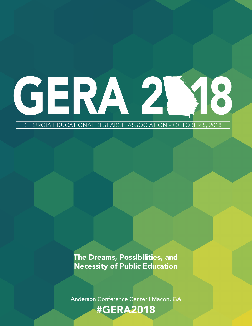# 18 GERA 2

**GEORGIA EDUCATIONAL RESEARCH ASSOCIATION - OCTOBER 5, 2018** 

The Dreams, Possibilities, and Necessity of Public Education

Anderson Conference Center | Macon, GA

# #GERA2018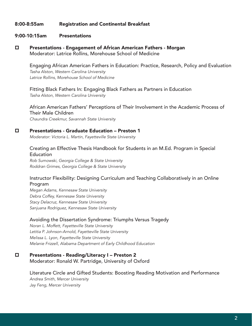#### 8:00-8:55am Registration and Continental Breakfast

#### 9:00-10:15am Presentations

p Presentations - Engagement of African American Fathers - Morgan Moderator: Latrice Rollins, Morehouse School of Medicine

Engaging African American Fathers in Education: Practice, Research, Policy and Evaluation *Tasha Alston, Western Carolina University Latrice Rollins, Morehouse School of Medicine*

Fitting Black Fathers In: Engaging Black Fathers as Partners in Education *Tasha Alston, Western Carolina University*

African American Fathers' Perceptions of Their Involvement in the Academic Process of Their Male Children

*Chaundra Creekmur, Savannah State University*

#### p Presentations - Graduate Education – Preston 1

*Moderator: Victoria L. Martin, Fayetteville State University*

#### Creating an Effective Thesis Handbook for Students in an M.Ed. Program in Special Education

*Rob Sumowski, Georgia College & State University Roddran Grimes, Georgia College & State University*

#### Instructor Flexibility: Designing Curriculum and Teaching Collaboratively in an Online Program

*Megan Adams, Kennesaw State University Debra Coffey, Kennesaw State University Stacy Delacruz, Kennesaw State University Sanjuana Rodriguez, Kennesaw State University*

#### Avoiding the Dissertation Syndrome: Triumphs Versus Tragedy

*Noran L. Moffett, Fayetteville State University Letitia P. Johnson-Arnold, Fayetteville State University Melissa L. Lyon, Fayetteville State University Melanie Frizzell, Alabama Department of Early Childhood Education*

#### □ Presentations - Reading/Literacy I – Preston 2

Moderator: Ronald W. Partridge, University of Oxford

# Literature Circle and Gifted Students: Boosting Reading Motivation and Performance

*Andrea Smith, Mercer University Jay Feng, Mercer University*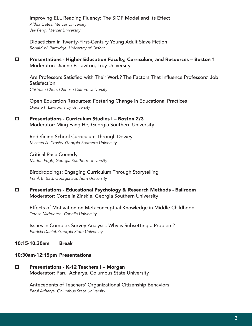Improving ELL Reading Fluency: The SIOP Model and Its Effect *Althia Gates, Mercer University Jay Feng, Mercer University*

Didacticism in Twenty-First-Century Young Adult Slave Fiction *Ronald W. Partridge, University of Oxford*

p Presentations - Higher Education Faculty, Curriculum, and Resources – Boston 1 Moderator: Dianne F. Lawton, Troy University

 Are Professors Satisfied with Their Work? The Factors That Influence Professors' Job **Satisfaction** *Chi Yuan Chen, Chinese Culture University*

Open Education Resources: Fostering Change in Educational Practices *Dianne F. Lawton, Troy University*

p Presentations - Curriculum Studies I – Boston 2/3 Moderator: Ming Fang He, Georgia Southern University

> Redefining School Curriculum Through Dewey *Michael A. Crosby, Georgia Southern University*

Critical Race Comedy *Marion Pugh, Georgia Southern University*

Birddroppings: Engaging Curriculum Through Storytelling *Frank E. Bird, Georgia Southern University*

p Presentations - Educational Psychology & Research Methods - Ballroom Moderator: Cordelia Zinskie, Georgia Southern University

Effects of Motivation on Metaconceptual Knowledge in Middle Childhood *Teresa Middleton, Capella University*

 Issues in Complex Survey Analysis: Why is Subsetting a Problem? *Patricia Daniel, Georgia State University*

10:15-10:30am Break

#### 10:30am-12:15pm Presentations

□ Presentations - K-12 Teachers I – Morgan Moderator: Parul Acharya, Columbus State University

> Antecedents of Teachers' Organizational Citizenship Behaviors *Parul Acharya, Columbus State University*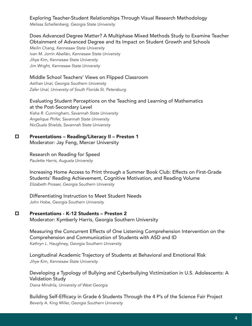Exploring Teacher-Student Relationships Through Visual Research Methodology *Melissa Schellenberg, Georgia State University*

 Does Advanced Degree Matter? A Multiphase Mixed Methods Study to Examine Teacher Obtainment of Advanced Degree and Its Impact on Student Growth and Schools

*Meilin Chang, Kennesaw State University Ivan M. Jorrín Abellán, Kennesaw State University Jihye Kim, Kennesaw State University Jim Wright, Kennesaw State University*

#### Middle School Teachers' Views on Flipped Classroom

*Aslihan Unal, Georgia Southern University Zafer Unal, University of South Florida St. Petersburg*

#### Evaluating Student Perceptions on the Teaching and Learning of Mathematics at the Post-Secondary Level

*Kisha R. Cunningham, Savannah State University Angelique Phifer, Savannah State University NicQuala Shields, Savannah State University*

#### □ Presentations – Reading/Literacy II – Preston 1

 Moderator: Jay Feng, Mercer University

#### Research on Reading for Speed

*Paulette Harris, Augusta University*

Increasing Home Access to Print through a Summer Book Club: Effects on First-Grade Students' Reading Achievement, Cognitive Motivation, and Reading Volume *Elizabeth Prosser, Georgia Southern University*

#### Differentiating Instruction to Meet Student Needs *John Hobe, Georgia Southern University*

#### □ Presentations - K-12 Students – Preston 2

Moderator: Kymberly Harris, Georgia Southern University

Measuring the Concurrent Effects of One Listening Comprehension Intervention on the Comprehension and Communication of Students with ASD and ID *Kathryn L. Haughney, Georgia Southern University*

Longitudinal Academic Trajectory of Students at Behavioral and Emotional Risk *Jihye Kim, Kennesaw State University*

## Developing a Typology of Bullying and Cyberbullying Victimization in U.S. Adolescents: A Validation Study

*Diana Mindrila, University of West Georgia*

 Building Self-Efficacy in Grade 6 Students Through the 4 P's of the Science Fair Project *Beverly A. King Miller, Georgia Southern University*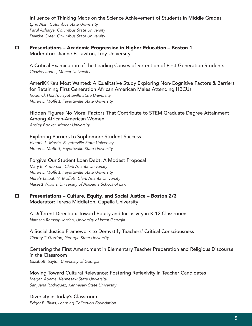Influence of Thinking Maps on the Science Achievement of Students in Middle Grades *Lynn Akin, Columbus State University Parul Acharya, Columbus State University Deirdre Greer, Columbus State University*

#### p Presentations – Academic Progression in Higher Education – Boston 1 Moderator: Dianne F. Lawton, Troy University

A Critical Examination of the Leading Causes of Retention of First-Generation Students *Chazidy Jones, Mercer University*

AmeriKKKa's Most Wanted: A Qualitative Study Exploring Non-Cognitive Factors & Barriers for Retaining First Generation African American Males Attending HBCUs

*Roderick Heath, Fayetteville State University Noran L. Moffett, Fayetteville State University*

#### Hidden Figures No More: Factors That Contribute to STEM Graduate Degree Attainment Among African-American Women

*Ansley Booker, Mercer University*

Exploring Barriers to Sophomore Student Success

*Victoria L. Martin, Fayetteville State University Noran L. Moffett, Fayetteville State University*

#### Forgive Our Student Loan Debt: A Modest Proposal

*Mary E. Anderson, Clark Atlanta University Noran L. Moffett, Fayetteville State University Nurah-Talibah N. Moffett, Clark Atlanta University Narsett Wilkins, University of Alabama School of Law*

#### $\square$  Presentations – Culture, Equity, and Social Justice – Boston 2/3 Moderator: Teresa Middleton, Capella University

A Different Direction: Toward Equity and Inclusivity in K-12 Classrooms *Natasha Ramsay-Jordan, University of West Georgia*

 A Social Justice Framework to Demystify Teachers' Critical Consciousness *Charity T. Gordon, Georgia State University*

## Centering the First Amendment in Elementary Teacher Preparation and Religious Discourse in the Classroom

*Elizabeth Saylor, University of Georgia*

# Moving Toward Cultural Relevance: Fostering Reflexivity in Teacher Candidates *Megan Adams, Kennesaw State University*

*Sanjuana Rodriguez, Kennesaw State University*

#### Diversity in Today's Classroom

*Edgar E. Rivas, Learning Collection Foundation*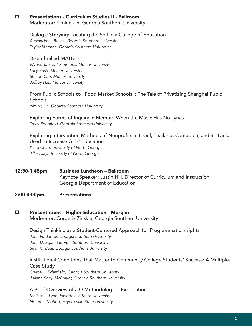#### p Presentations - Curriculum Studies II - Ballroom Moderator: Yiming Jin, Georgia Southern University

#### Dialogic Storying: Locating the Self in a College of Education

*Alexandra J. Reyes, Georgia Southern University Taylor Norman, Georgia Southern University*

#### Disenthralled MATters

*Wynnetta Scott-Simmons, Mercer University Lucy Bush, Mercer University Sherah Carr, Mercer University Jeffrey Hall, Mercer University*

#### From Public Schools to "Food Market Schools": The Tale of Privatizing Shanghai Pubic **Schools**

*Yiming Jin, Georgia Southern University*

## Exploring Forms of Inquiry in Memoir: When the Music Has No Lyrics

Tracy Edenfield, Georgia Southern University

 Exploring Intervention Methods of Nonprofits in Israel, Thailand, Cambodia, and Sri Lanka Used to Increase Girls' Education

*Kiera Chan, University of North Georgia Jillian Jay, University of North Georgia*

12:30-1:45pm Business Luncheon – Ballroom Keynote Speaker: Justin Hill, Director of Curriculum and Instruction, Georgia Department of Education

#### 2:00-4:00pm Presentations

#### □ Presentations - Higher Education - Morgan Moderator: Cordelia Zinskie, Georgia Southern University

Design Thinking as a Student-Centered Approach for Programmatic Insights *John N. Banter, Georgia Southern University John D. Egan, Georgia Southern University*

*Sean C. Bear, Georgia Southern University*

#### Institutional Conditions That Matter to Community College Students' Success: A Multiple-Case Study

Crystal L. Edenfield, Georgia Southern University *Juliann Sergi McBrayer, Georgia Southern University*

#### A Brief Overview of a Q Methodological Exploration

*Melissa L. Lyon, Fayetteville State University Noran L. Moffett, Fayetteville State University*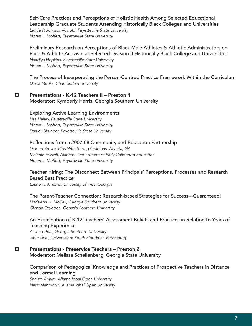Self-Care Practices and Perceptions of Holistic Health Among Selected Educational Leadership Graduate Students Attending Historically Black Colleges and Universities *Letitia P. Johnson-Arnold, Fayetteville State University*

*Noran L. Moffett, Fayetteville State University*

#### Preliminary Research on Perceptions of Black Male Athletes & Athletic Administrators on Race & Athlete Activism at Selected Division II Historically Black College and Universities *Naadiya Hopkins, Fayetteville State University*

*Noran L. Moffett, Fayetteville State University*

The Process of Incorporating the Person-Centred Practice Framework Within the Curriculum *Diana Meeks, Chamberlain University*

#### □ Presentations - K-12 Teachers II – Preston 1

Moderator: Kymberly Harris, Georgia Southern University

#### Exploring Active Learning Environments

*Lisa Hailey, Fayetteville State University Noran L. Moffett, Fayetteville State University Daniel Okunbor, Fayetteville State University*

#### Reflections from a 2007-08 Community and Education Partnership

*Delonn Brown, Kids With Strong Opinions, Atlanta, GA Melanie Frizzell, Alabama Department of Early Childhood Education Noran L. Moffett, Fayetteville State University*

#### Teacher Hiring: The Disconnect Between Principals' Perceptions, Processes and Research Based Best Practice

*Laurie A. Kimbrel, University of West Georgia*

#### The Parent-Teacher Connection: Research-based Strategies for Success---Guaranteed!

*LindaAnn H. McCall, Georgia Southern University Glenda Ogletree, Georgia Southern University*

#### An Examination of K-12 Teachers' Assessment Beliefs and Practices in Relation to Years of Teaching Experience

*Aslihan Unal, Georgia Southern University Zafer Unal, University of South Florida St. Petersburg*

#### □ Presentations - Preservice Teachers – Preston 2

Moderator: Melissa Schellenberg, Georgia State University

#### Comparison of Pedagogical Knowledge and Practices of Prospective Teachers in Distance and Formal Learning

*Shaista Anjum, Allama Iqbal Open University Nasir Mahmood, Allama Iqbal Open University*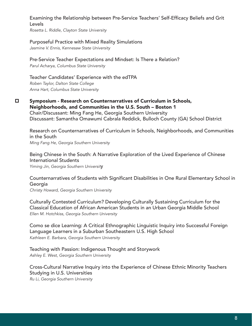#### Examining the Relationship between Pre-Service Teachers' Self-Efficacy Beliefs and Grit Levels

*Rosetta L. Riddle, Clayton State University*

#### Purposeful Practice with Mixed Reality Simulations

*Jasmine V. Ennis, Kennesaw State University*

#### Pre-Service Teacher Expectations and Mindset: Is There a Relation?

*Parul Acharya, Columbus State University*

#### Teacher Candidates' Experience with the edTPA

*Roben Taylor, Dalton State College Anna Hart, Columbus State University*

 $\square$  Symposium - Research on Counternarratives of Curriculum in Schools, Neighborhoods, and Communities in the U.S. South – Boston 1 Chair/Discussant: Ming Fang He, Georgia Southern University Discussant: Samantha Omawumi Cabrala Reddick, Bulloch County (GA) School District

Research on Counternarratives of Curriculum in Schools, Neighborhoods, and Communities in the South *Ming Fang He, Georgia Southern University*

Being Chinese in the South: A Narrative Exploration of the Lived Experience of Chinese International Students

*Yiming Jin, Georgia Southern Universit*y

#### Counternarratives of Students with Significant Disabilities in One Rural Elementary School in Georgia

*Christy Howard, Georgia Southern University*

 Culturally Contested Curriculum? Developing Culturally Sustaining Curriculum for the Classical Education of African American Students in an Urban Georgia Middle School *Ellen M. Hotchkiss, Georgia Southern University*

Como se dice Learning: A Critical Ethnographic Linguistic Inquiry into Successful Foreign Language Learners in a Suburban Southeastern U.S. High School *Kathleen E. Barbara, Georgia Southern University*

Teaching with Passion: Indigenous Thought and Storywork *Ashley E. West, Georgia Southern University*

Cross-Cultural Narrative Inquiry into the Experience of Chinese Ethnic Minority Teachers Studying in U.S. Universities

*Ru Li, Georgia Southern University*